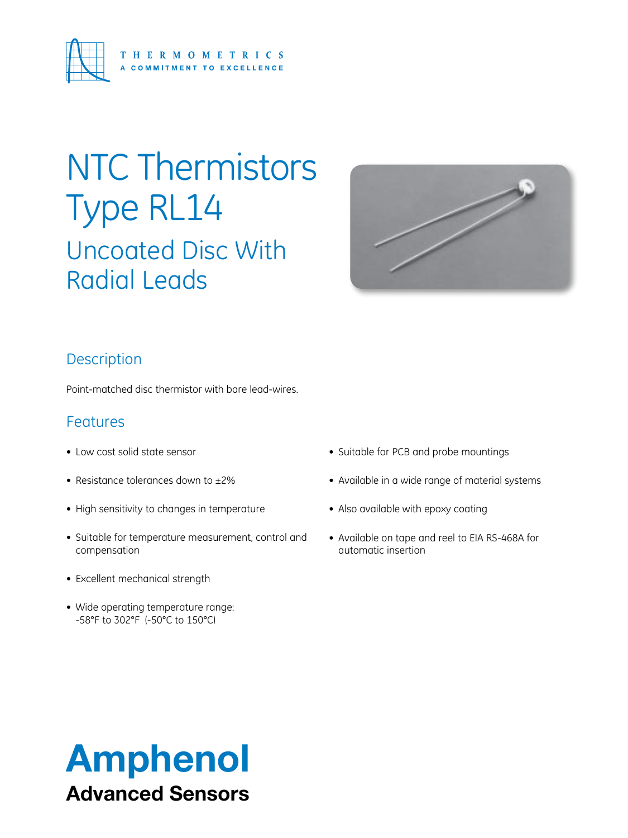

# NTC Thermistors Type RL14

Uncoated Disc With Radial Leads



### **Description**

Point-matched disc thermistor with bare lead-wires.

### Features

- Low cost solid state sensor
- Resistance tolerances down to ±2%
- High sensitivity to changes in temperature
- Suitable for temperature measurement, control and compensation
- Excellent mechanical strength
- Wide operating temperature range: -58°F to 302°F (-50°C to 150°C)
- Suitable for PCB and probe mountings
- • Available in a wide range of material systems
- Also available with epoxy coating
- Available on tape and reel to EIA RS-468A for automatic insertion

## Amphenol Advanced Sensors